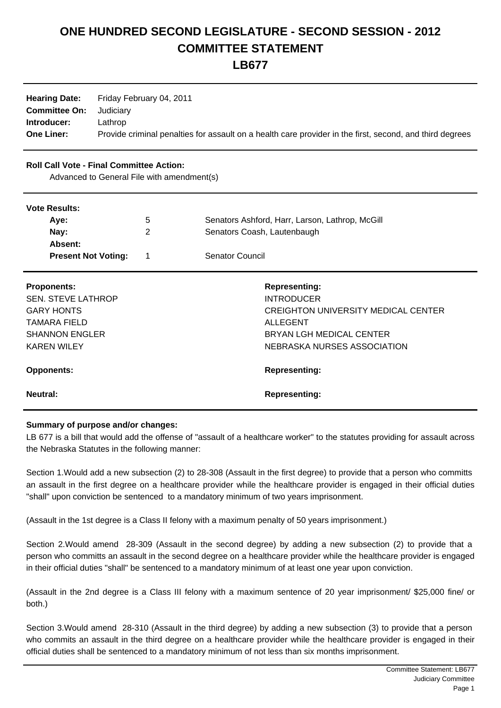# **ONE HUNDRED SECOND LEGISLATURE - SECOND SESSION - 2012 COMMITTEE STATEMENT**

**LB677**

| <b>Hearing Date:</b>           | Friday February 04, 2011                                                                                 |
|--------------------------------|----------------------------------------------------------------------------------------------------------|
| <b>Committee On:</b> Judiciary |                                                                                                          |
| Introducer:                    | Lathrop                                                                                                  |
| <b>One Liner:</b>              | Provide criminal penalties for assault on a health care provider in the first, second, and third degrees |

## **Roll Call Vote - Final Committee Action:**

Advanced to General File with amendment(s)

#### **Vote Results:**

| TULU INGGUILO. |                            |             |                                                 |  |  |
|----------------|----------------------------|-------------|-------------------------------------------------|--|--|
|                | Ave:                       | $\mathbf b$ | Senators Ashford, Harr, Larson, Lathrop, McGill |  |  |
|                | Nay:                       |             | Senators Coash, Lautenbaugh                     |  |  |
|                | <b>Absent:</b>             |             |                                                 |  |  |
|                | <b>Present Not Voting:</b> |             | <b>Senator Council</b>                          |  |  |
|                |                            |             |                                                 |  |  |

| <b>Proponents:</b><br><b>SEN. STEVE LATHROP</b><br><b>GARY HONTS</b><br>TAMARA FIELD<br><b>SHANNON ENGLER</b><br><b>KAREN WILEY</b> | <b>Representing:</b><br><b>INTRODUCER</b><br>CREIGHTON UNIVERSITY MEDICAL CENTER<br>ALLEGENT<br>BRYAN LGH MEDICAL CENTER<br>NEBRASKA NURSES ASSOCIATION |
|-------------------------------------------------------------------------------------------------------------------------------------|---------------------------------------------------------------------------------------------------------------------------------------------------------|
| <b>Opponents:</b>                                                                                                                   | <b>Representing:</b>                                                                                                                                    |
| Neutral:                                                                                                                            | <b>Representing:</b>                                                                                                                                    |

### **Summary of purpose and/or changes:**

LB 677 is a bill that would add the offense of "assault of a healthcare worker" to the statutes providing for assault across the Nebraska Statutes in the following manner:

Section 1. Would add a new subsection (2) to 28-308 (Assault in the first degree) to provide that a person who committs an assault in the first degree on a healthcare provider while the healthcare provider is engaged in their official duties "shall" upon conviction be sentenced to a mandatory minimum of two years imprisonment.

(Assault in the 1st degree is a Class II felony with a maximum penalty of 50 years imprisonment.)

Section 2. Would amend 28-309 (Assault in the second degree) by adding a new subsection (2) to provide that a person who committs an assault in the second degree on a healthcare provider while the healthcare provider is engaged in their official duties "shall" be sentenced to a mandatory minimum of at least one year upon conviction.

(Assault in the 2nd degree is a Class III felony with a maximum sentence of 20 year imprisonment/ \$25,000 fine/ or both.)

Section 3. Would amend 28-310 (Assault in the third degree) by adding a new subsection (3) to provide that a person who commits an assault in the third degree on a healthcare provider while the healthcare provider is engaged in their official duties shall be sentenced to a mandatory minimum of not less than six months imprisonment.